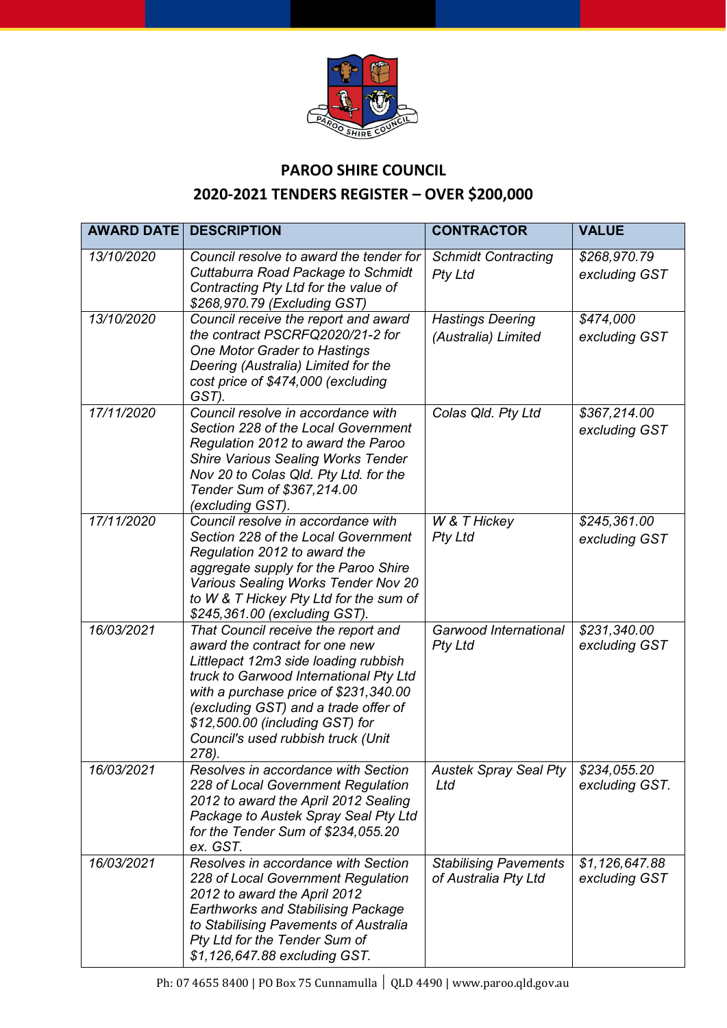

## **PAROO SHIRE COUNCIL**

## **2020-2021 TENDERS REGISTER – OVER \$200,000**

| <b>AWARD DATE</b> | <b>DESCRIPTION</b>                                                                                                                                                                                                                                                                                                         | <b>CONTRACTOR</b>                                    | <b>VALUE</b>                    |
|-------------------|----------------------------------------------------------------------------------------------------------------------------------------------------------------------------------------------------------------------------------------------------------------------------------------------------------------------------|------------------------------------------------------|---------------------------------|
| 13/10/2020        | Council resolve to award the tender for<br>Cuttaburra Road Package to Schmidt<br>Contracting Pty Ltd for the value of<br>\$268,970.79 (Excluding GST)                                                                                                                                                                      | <b>Schmidt Contracting</b><br><b>Pty Ltd</b>         | \$268,970.79<br>excluding GST   |
| 13/10/2020        | Council receive the report and award<br>the contract PSCRFQ2020/21-2 for<br>One Motor Grader to Hastings<br>Deering (Australia) Limited for the<br>cost price of \$474,000 (excluding<br>GST).                                                                                                                             | <b>Hastings Deering</b><br>(Australia) Limited       | \$474,000<br>excluding GST      |
| 17/11/2020        | Council resolve in accordance with<br>Section 228 of the Local Government<br>Regulation 2012 to award the Paroo<br><b>Shire Various Sealing Works Tender</b><br>Nov 20 to Colas Qld. Pty Ltd. for the<br>Tender Sum of \$367,214.00<br>(excluding GST).                                                                    | Colas Qld. Pty Ltd                                   | \$367,214.00<br>excluding GST   |
| 17/11/2020        | Council resolve in accordance with<br>Section 228 of the Local Government<br>Regulation 2012 to award the<br>aggregate supply for the Paroo Shire<br>Various Sealing Works Tender Nov 20<br>to W & T Hickey Pty Ltd for the sum of<br>\$245,361.00 (excluding GST).                                                        | W & T Hickey<br><b>Pty Ltd</b>                       | \$245,361.00<br>excluding GST   |
| 16/03/2021        | That Council receive the report and<br>award the contract for one new<br>Littlepact 12m3 side loading rubbish<br>truck to Garwood International Pty Ltd<br>with a purchase price of \$231,340.00<br>(excluding GST) and a trade offer of<br>\$12,500.00 (including GST) for<br>Council's used rubbish truck (Unit<br>278). | Garwood International<br><b>Pty Ltd</b>              | \$231,340.00<br>excluding GST   |
| 16/03/2021        | Resolves in accordance with Section<br>228 of Local Government Regulation<br>2012 to award the April 2012 Sealing<br>Package to Austek Spray Seal Pty Ltd<br>for the Tender Sum of \$234,055.20<br>ex. GST.                                                                                                                | Austek Spray Seal Pty   \$234,055.20<br>Ltd          | excluding GST.                  |
| 16/03/2021        | Resolves in accordance with Section<br>228 of Local Government Regulation<br>2012 to award the April 2012<br><b>Earthworks and Stabilising Package</b><br>to Stabilising Pavements of Australia<br>Pty Ltd for the Tender Sum of<br>\$1,126,647.88 excluding GST.                                                          | <b>Stabilising Pavements</b><br>of Australia Pty Ltd | \$1,126,647.88<br>excluding GST |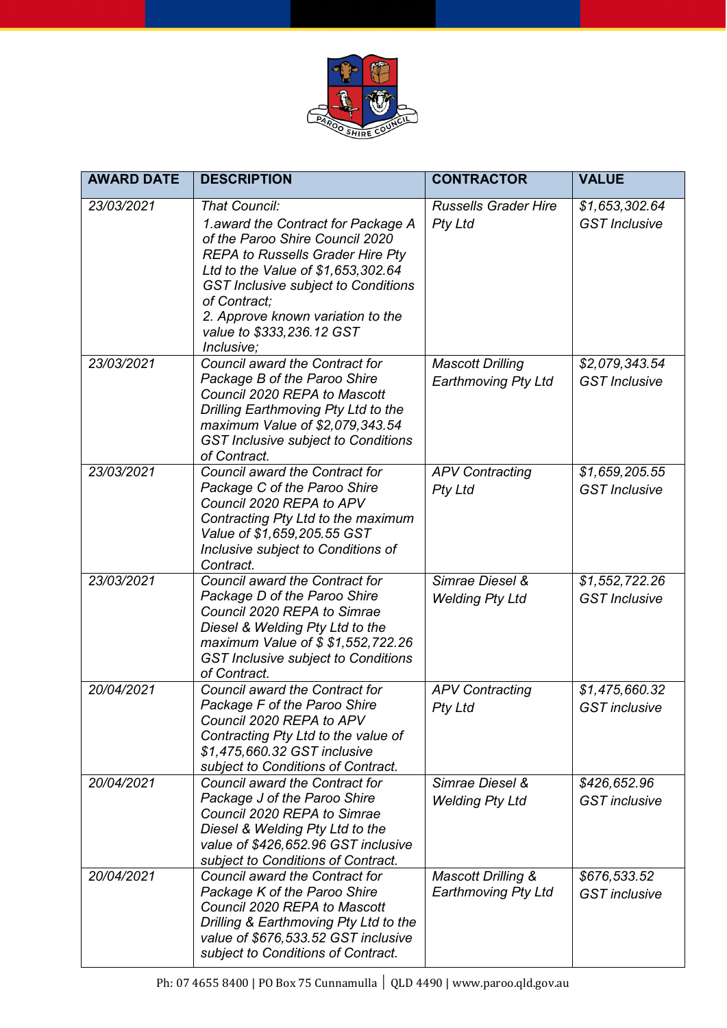

| <b>AWARD DATE</b> | <b>DESCRIPTION</b>                                                                                                                                                                                                                                                                                                     | <b>CONTRACTOR</b>                                | <b>VALUE</b>                           |
|-------------------|------------------------------------------------------------------------------------------------------------------------------------------------------------------------------------------------------------------------------------------------------------------------------------------------------------------------|--------------------------------------------------|----------------------------------------|
| 23/03/2021        | That Council:<br>1. award the Contract for Package A<br>of the Paroo Shire Council 2020<br><b>REPA to Russells Grader Hire Pty</b><br>Ltd to the Value of \$1,653,302.64<br><b>GST Inclusive subject to Conditions</b><br>of Contract:<br>2. Approve known variation to the<br>value to \$333,236.12 GST<br>Inclusive; | <b>Russells Grader Hire</b><br><b>Pty Ltd</b>    | \$1,653,302.64<br><b>GST</b> Inclusive |
| 23/03/2021        | Council award the Contract for<br>Package B of the Paroo Shire<br>Council 2020 REPA to Mascott<br>Drilling Earthmoving Pty Ltd to the<br>maximum Value of \$2,079,343.54<br><b>GST Inclusive subject to Conditions</b><br>of Contract.                                                                                 | <b>Mascott Drilling</b><br>Earthmoving Pty Ltd   | \$2,079,343.54<br><b>GST</b> Inclusive |
| 23/03/2021        | Council award the Contract for<br>Package C of the Paroo Shire<br>Council 2020 REPA to APV<br>Contracting Pty Ltd to the maximum<br>Value of \$1,659,205.55 GST<br>Inclusive subject to Conditions of<br>Contract.                                                                                                     | <b>APV Contracting</b><br><b>Pty Ltd</b>         | \$1,659,205.55<br><b>GST</b> Inclusive |
| 23/03/2021        | Council award the Contract for<br>Package D of the Paroo Shire<br>Council 2020 REPA to Simrae<br>Diesel & Welding Pty Ltd to the<br>maximum Value of \$ \$1,552,722.26<br><b>GST Inclusive subject to Conditions</b><br>of Contract.                                                                                   | Simrae Diesel &<br><b>Welding Pty Ltd</b>        | \$1,552,722.26<br><b>GST</b> Inclusive |
| 20/04/2021        | Council award the Contract for<br>Package F of the Paroo Shire<br>Council 2020 REPA to APV<br>Contracting Pty Ltd to the value of<br>\$1,475,660.32 GST inclusive<br>subject to Conditions of Contract.                                                                                                                | <b>APV Contracting</b><br><b>Pty Ltd</b>         | \$1,475,660.32<br><b>GST</b> inclusive |
| 20/04/2021        | Council award the Contract for<br>Package J of the Paroo Shire<br>Council 2020 REPA to Simrae<br>Diesel & Welding Pty Ltd to the<br>value of \$426,652.96 GST inclusive<br>subject to Conditions of Contract.                                                                                                          | Simrae Diesel &<br><b>Welding Pty Ltd</b>        | \$426,652.96<br><b>GST</b> inclusive   |
| 20/04/2021        | Council award the Contract for<br>Package K of the Paroo Shire<br>Council 2020 REPA to Mascott<br>Drilling & Earthmoving Pty Ltd to the<br>value of \$676,533.52 GST inclusive<br>subject to Conditions of Contract.                                                                                                   | Mascott Drilling &<br><b>Earthmoving Pty Ltd</b> | \$676,533.52<br><b>GST</b> inclusive   |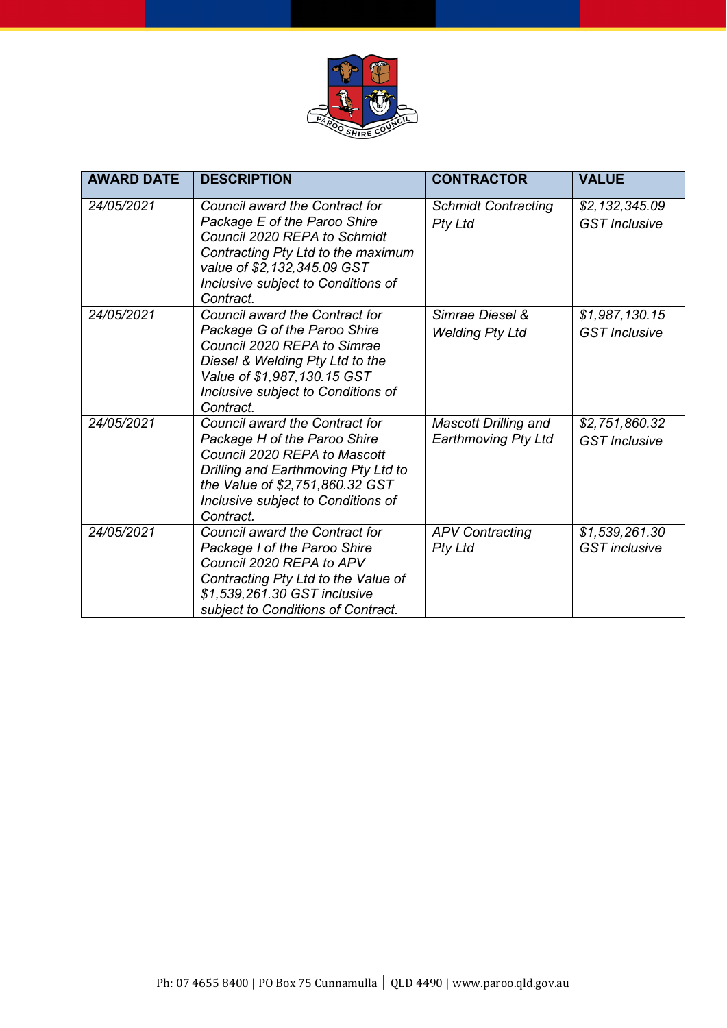

| <b>AWARD DATE</b> | <b>DESCRIPTION</b>                                                                                                                                                                                                          | <b>CONTRACTOR</b>                                         | <b>VALUE</b>                           |
|-------------------|-----------------------------------------------------------------------------------------------------------------------------------------------------------------------------------------------------------------------------|-----------------------------------------------------------|----------------------------------------|
| 24/05/2021        | Council award the Contract for<br>Package E of the Paroo Shire<br>Council 2020 REPA to Schmidt<br>Contracting Pty Ltd to the maximum<br>value of \$2,132,345.09 GST<br>Inclusive subject to Conditions of<br>Contract.      | <b>Schmidt Contracting</b><br><b>Pty Ltd</b>              | \$2,132,345.09<br><b>GST</b> Inclusive |
| 24/05/2021        | Council award the Contract for<br>Package G of the Paroo Shire<br>Council 2020 REPA to Simrae<br>Diesel & Welding Pty Ltd to the<br>Value of \$1,987,130.15 GST<br>Inclusive subject to Conditions of<br>Contract.          | Simrae Diesel &<br><b>Welding Pty Ltd</b>                 | \$1,987,130.15<br><b>GST</b> Inclusive |
| 24/05/2021        | Council award the Contract for<br>Package H of the Paroo Shire<br>Council 2020 REPA to Mascott<br>Drilling and Earthmoving Pty Ltd to<br>the Value of \$2,751,860.32 GST<br>Inclusive subject to Conditions of<br>Contract. | <b>Mascott Drilling and</b><br><b>Earthmoving Pty Ltd</b> | \$2,751,860.32<br><b>GST</b> Inclusive |
| 24/05/2021        | Council award the Contract for<br>Package I of the Paroo Shire<br>Council 2020 REPA to APV<br>Contracting Pty Ltd to the Value of<br>\$1,539,261.30 GST inclusive<br>subject to Conditions of Contract.                     | <b>APV Contracting</b><br><b>Pty Ltd</b>                  | \$1,539,261.30<br><b>GST</b> inclusive |